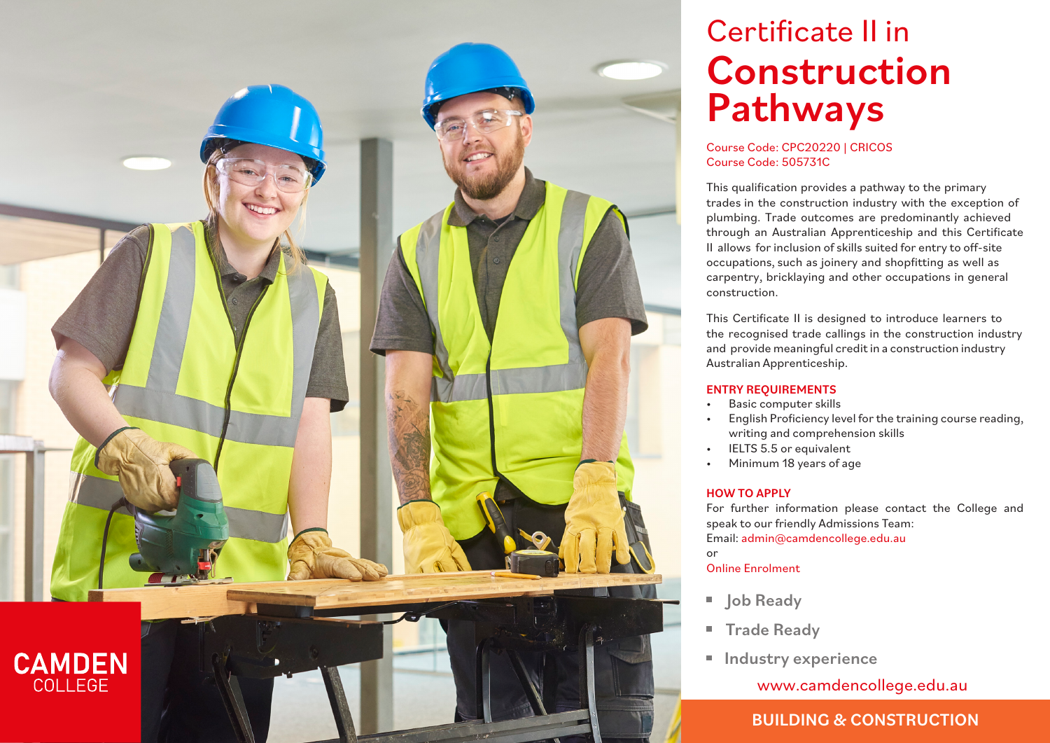

# Certificate II in Construction Pathways

### Course Code: CPC20220 | CRICOS Course Code: 505731C

This qualification provides a pathway to the primary trades in the construction industry with the exception of plumbing. Trade outcomes are predominantly achieved through an Australian Apprenticeship and this Certificate II allows for inclusion of skills suited for entry to off-site occupations, such as joinery and shopfitting as well as carpentry, bricklaying and other occupations in general construction.

This Certificate II is designed to introduce learners to the recognised trade callings in the construction industry and provide meaningful credit in a construction industry Australian Apprenticeship.

### ENTRY REQUIREMENTS

- Basic computer skills
- English Proficiency level for the training course reading, writing and comprehension skills
- IELTS 5.5 or equivalent
- Minimum 18 years of age

### HOW TO APPLY

For further information please contact the College and speak to our friendly Admissions Team: Email: admin@camdencollege.edu.au

or

## Online Enrolment

- Job Ready
- **Trade Ready**
- **Industry experience**

www.camdencollege.edu.au

# BUILDING & CONSTRUCTION